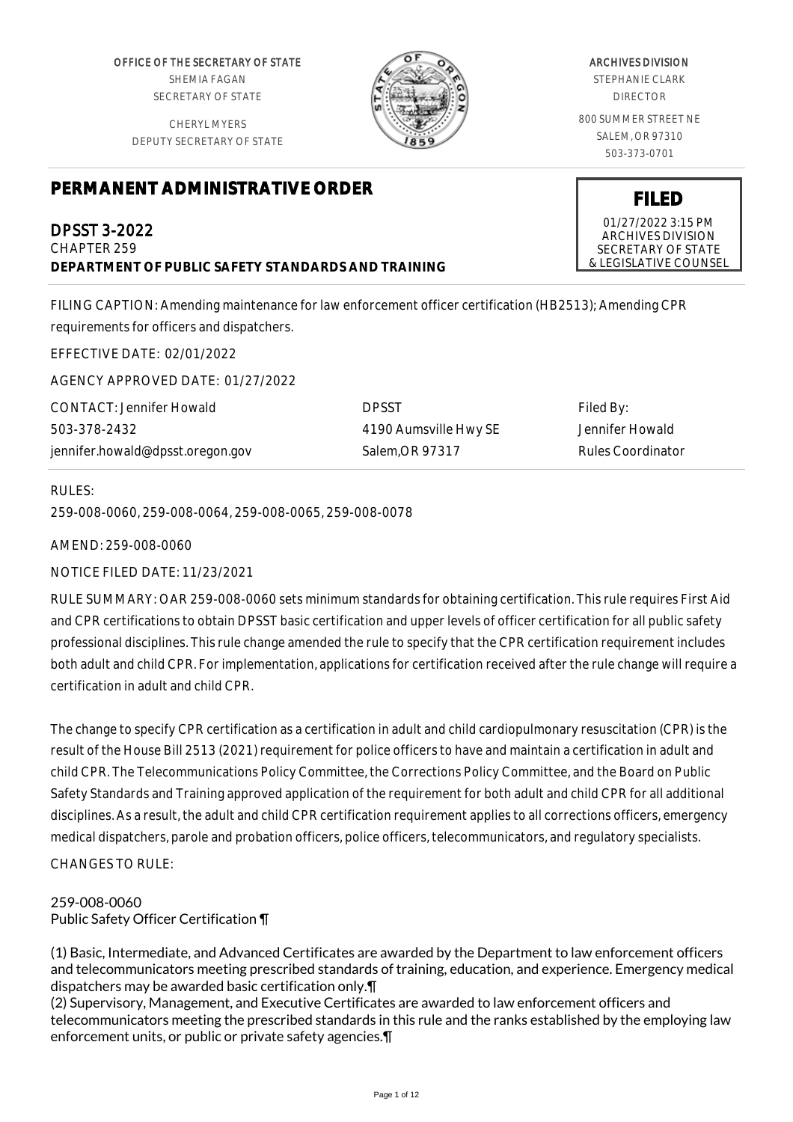OFFICE OF THE SECRETARY OF STATE SHEMIA FAGAN SECRETARY OF STATE

CHERYL MYERS DEPUTY SECRETARY OF STATE



# **PERMANENT ADMINISTRATIVE ORDER**

DPSST 3-2022 CHAPTER 259 **DEPARTMENT OF PUBLIC SAFETY STANDARDS AND TRAINING**

FILING CAPTION: Amending maintenance for law enforcement officer certification (HB2513); Amending CPR requirements for officers and dispatchers.

EFFECTIVE DATE: 02/01/2022

AGENCY APPROVED DATE: 01/27/2022

| CONTACT: Jennifer Howald         | <b>DPSST</b>          | Filed By:         |
|----------------------------------|-----------------------|-------------------|
| 503-378-2432                     | 4190 Aumsville Hwy SE | Jennifer Howald   |
| jennifer.howald@dpsst.oregon.gov | Salem.OR 97317        | Rules Coordinator |

#### RULES:

259-008-0060, 259-008-0064, 259-008-0065, 259-008-0078

AMEND: 259-008-0060

NOTICE FILED DATE: 11/23/2021

RULE SUMMARY: OAR 259-008-0060 sets minimum standards for obtaining certification. This rule requires First Aid and CPR certifications to obtain DPSST basic certification and upper levels of officer certification for all public safety professional disciplines. This rule change amended the rule to specify that the CPR certification requirement includes both adult and child CPR. For implementation, applications for certification received after the rule change will require a certification in adult and child CPR.

The change to specify CPR certification as a certification in adult and child cardiopulmonary resuscitation (CPR) is the result of the House Bill 2513 (2021) requirement for police officers to have and maintain a certification in adult and child CPR. The Telecommunications Policy Committee, the Corrections Policy Committee, and the Board on Public Safety Standards and Training approved application of the requirement for both adult and child CPR for all additional disciplines. As a result, the adult and child CPR certification requirement applies to all corrections officers, emergency medical dispatchers, parole and probation officers, police officers, telecommunicators, and regulatory specialists. CHANGES TO RULE:

## 259-008-0060 Public Safety Officer Certification ¶

(1) Basic, Intermediate, and Advanced Certificates are awarded by the Department to law enforcement officers and telecommunicators meeting prescribed standards of training, education, and experience. Emergency medical dispatchers may be awarded basic certification only.¶

(2) Supervisory, Management, and Executive Certificates are awarded to law enforcement officers and telecommunicators meeting the prescribed standards in this rule and the ranks established by the employing law enforcement units, or public or private safety agencies.¶

ARCHIVES DIVISION

STEPHANIE CLARK DIRECTOR

800 SUMMER STREET NE SALEM, OR 97310 503-373-0701

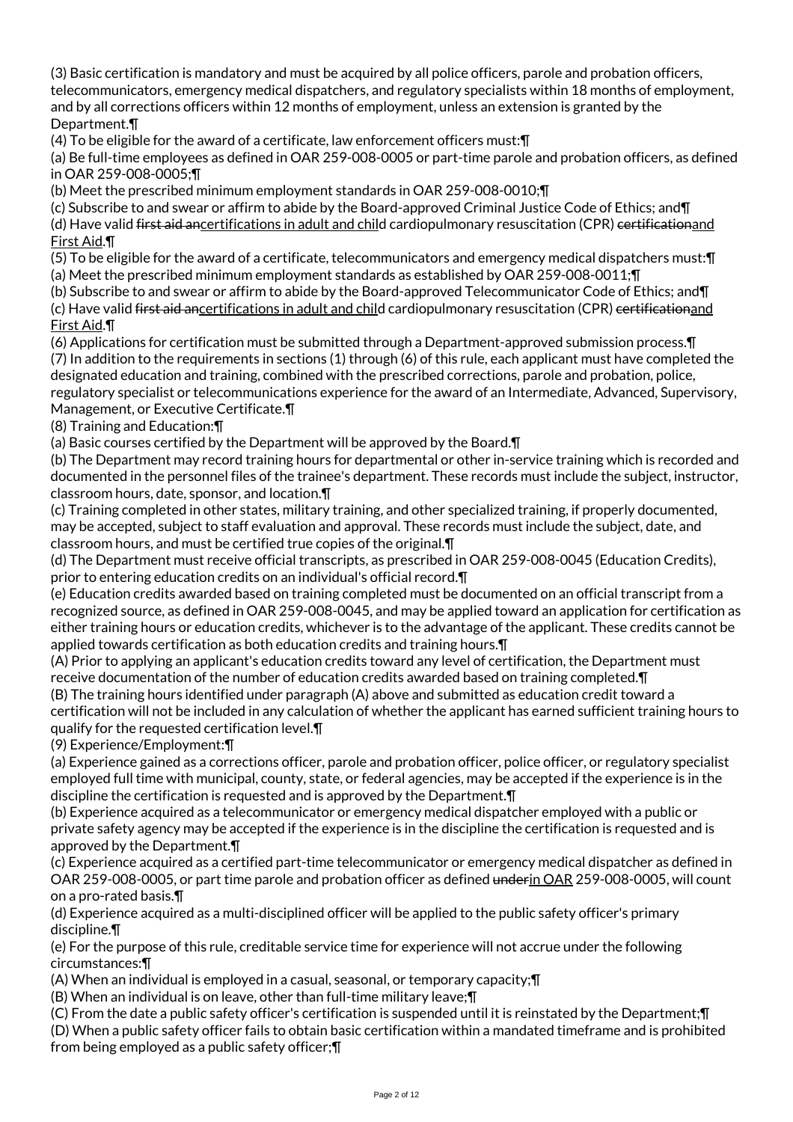(3) Basic certification is mandatory and must be acquired by all police officers, parole and probation officers, telecommunicators, emergency medical dispatchers, and regulatory specialists within 18 months of employment, and by all corrections officers within 12 months of employment, unless an extension is granted by the Department.¶

(4) To be eligible for the award of a certificate, law enforcement officers must:¶

(a) Be full-time employees as defined in OAR 259-008-0005 or part-time parole and probation officers, as defined in OAR 259-008-0005;¶

(b) Meet the prescribed minimum employment standards in OAR 259-008-0010;¶

(c) Subscribe to and swear or affirm to abide by the Board-approved Criminal Justice Code of Ethics; and¶

(d) Have valid first aid ancertifications in adult and child cardiopulmonary resuscitation (CPR) certificationand First Aid.¶

(5) To be eligible for the award of a certificate, telecommunicators and emergency medical dispatchers must:¶

(a) Meet the prescribed minimum employment standards as established by OAR 259-008-0011;¶

(b) Subscribe to and swear or affirm to abide by the Board-approved Telecommunicator Code of Ethics; and¶

(c) Have valid first aid ancertifications in adult and child cardiopulmonary resuscitation (CPR) certificationand First Aid.¶

(6) Applications for certification must be submitted through a Department-approved submission process.¶ (7) In addition to the requirements in sections (1) through (6) of this rule, each applicant must have completed the designated education and training, combined with the prescribed corrections, parole and probation, police, regulatory specialist or telecommunications experience for the award of an Intermediate, Advanced, Supervisory,

Management, or Executive Certificate.¶

(8) Training and Education:¶

(a) Basic courses certified by the Department will be approved by the Board.¶

(b) The Department may record training hours for departmental or other in-service training which is recorded and documented in the personnel files of the trainee's department. These records must include the subject, instructor, classroom hours, date, sponsor, and location.¶

(c) Training completed in other states, military training, and other specialized training, if properly documented, may be accepted, subject to staff evaluation and approval. These records must include the subject, date, and classroom hours, and must be certified true copies of the original.¶

(d) The Department must receive official transcripts, as prescribed in OAR 259-008-0045 (Education Credits), prior to entering education credits on an individual's official record.¶

(e) Education credits awarded based on training completed must be documented on an official transcript from a recognized source, as defined in OAR 259-008-0045, and may be applied toward an application for certification as either training hours or education credits, whichever is to the advantage of the applicant. These credits cannot be applied towards certification as both education credits and training hours.¶

(A) Prior to applying an applicant's education credits toward any level of certification, the Department must receive documentation of the number of education credits awarded based on training completed.¶

(B) The training hours identified under paragraph (A) above and submitted as education credit toward a certification will not be included in any calculation of whether the applicant has earned sufficient training hours to qualify for the requested certification level.¶

(9) Experience/Employment:¶

(a) Experience gained as a corrections officer, parole and probation officer, police officer, or regulatory specialist employed full time with municipal, county, state, or federal agencies, may be accepted if the experience is in the discipline the certification is requested and is approved by the Department.¶

(b) Experience acquired as a telecommunicator or emergency medical dispatcher employed with a public or private safety agency may be accepted if the experience is in the discipline the certification is requested and is approved by the Department.¶

(c) Experience acquired as a certified part-time telecommunicator or emergency medical dispatcher as defined in OAR 259-008-0005, or part time parole and probation officer as defined underin OAR 259-008-0005, will count on a pro-rated basis.¶

(d) Experience acquired as a multi-disciplined officer will be applied to the public safety officer's primary discipline.¶

(e) For the purpose of this rule, creditable service time for experience will not accrue under the following circumstances:¶

(A) When an individual is employed in a casual, seasonal, or temporary capacity;¶

(B) When an individual is on leave, other than full-time military leave;¶

(C) From the date a public safety officer's certification is suspended until it is reinstated by the Department;¶ (D) When a public safety officer fails to obtain basic certification within a mandated timeframe and is prohibited from being employed as a public safety officer;¶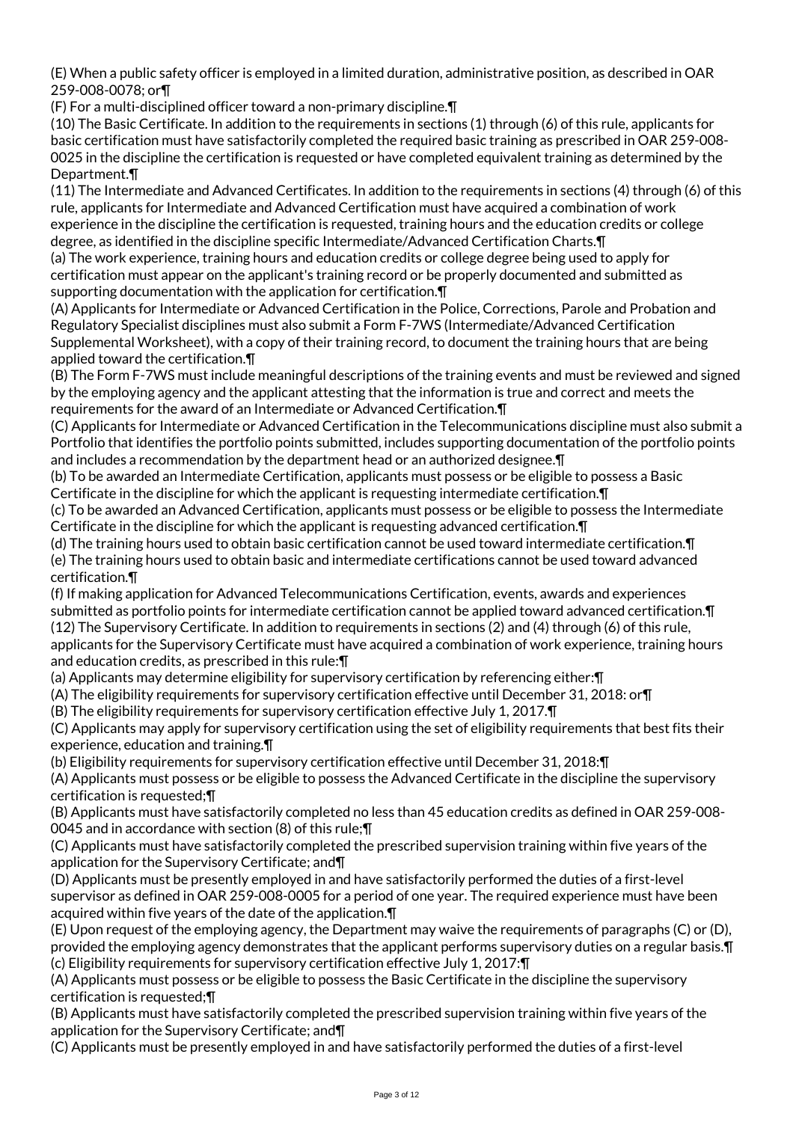(E) When a public safety officer is employed in a limited duration, administrative position, as described in OAR 259-008-0078; or¶

(F) For a multi-disciplined officer toward a non-primary discipline.¶

(10) The Basic Certificate. In addition to the requirements in sections (1) through (6) of this rule, applicants for basic certification must have satisfactorily completed the required basic training as prescribed in OAR 259-008- 0025 in the discipline the certification is requested or have completed equivalent training as determined by the Department.¶

(11) The Intermediate and Advanced Certificates. In addition to the requirements in sections (4) through (6) of this rule, applicants for Intermediate and Advanced Certification must have acquired a combination of work experience in the discipline the certification is requested, training hours and the education credits or college degree, as identified in the discipline specific Intermediate/Advanced Certification Charts.¶

(a) The work experience, training hours and education credits or college degree being used to apply for certification must appear on the applicant's training record or be properly documented and submitted as supporting documentation with the application for certification.¶

(A) Applicants for Intermediate or Advanced Certification in the Police, Corrections, Parole and Probation and Regulatory Specialist disciplines must also submit a Form F-7WS (Intermediate/Advanced Certification Supplemental Worksheet), with a copy of their training record, to document the training hours that are being applied toward the certification.¶

(B) The Form F-7WS must include meaningful descriptions of the training events and must be reviewed and signed by the employing agency and the applicant attesting that the information is true and correct and meets the requirements for the award of an Intermediate or Advanced Certification.¶

(C) Applicants for Intermediate or Advanced Certification in the Telecommunications discipline must also submit a Portfolio that identifies the portfolio points submitted, includes supporting documentation of the portfolio points and includes a recommendation by the department head or an authorized designee.¶

(b) To be awarded an Intermediate Certification, applicants must possess or be eligible to possess a Basic Certificate in the discipline for which the applicant is requesting intermediate certification.¶

(c) To be awarded an Advanced Certification, applicants must possess or be eligible to possess the Intermediate Certificate in the discipline for which the applicant is requesting advanced certification.¶

(d) The training hours used to obtain basic certification cannot be used toward intermediate certification.¶

(e) The training hours used to obtain basic and intermediate certifications cannot be used toward advanced certification.¶

(f) If making application for Advanced Telecommunications Certification, events, awards and experiences submitted as portfolio points for intermediate certification cannot be applied toward advanced certification.¶ (12) The Supervisory Certificate. In addition to requirements in sections (2) and (4) through (6) of this rule, applicants for the Supervisory Certificate must have acquired a combination of work experience, training hours and education credits, as prescribed in this rule:¶

(a) Applicants may determine eligibility for supervisory certification by referencing either:¶

(A) The eligibility requirements for supervisory certification effective until December 31, 2018: or¶

(B) The eligibility requirements for supervisory certification effective July 1, 2017.¶

(C) Applicants may apply for supervisory certification using the set of eligibility requirements that best fits their experience, education and training.¶

(b) Eligibility requirements for supervisory certification effective until December 31, 2018:¶

(A) Applicants must possess or be eligible to possess the Advanced Certificate in the discipline the supervisory certification is requested;¶

(B) Applicants must have satisfactorily completed no less than 45 education credits as defined in OAR 259-008- 0045 and in accordance with section (8) of this rule;¶

(C) Applicants must have satisfactorily completed the prescribed supervision training within five years of the application for the Supervisory Certificate; and¶

(D) Applicants must be presently employed in and have satisfactorily performed the duties of a first-level supervisor as defined in OAR 259-008-0005 for a period of one year. The required experience must have been acquired within five years of the date of the application.¶

(E) Upon request of the employing agency, the Department may waive the requirements of paragraphs (C) or (D), provided the employing agency demonstrates that the applicant performs supervisory duties on a regular basis.¶ (c) Eligibility requirements for supervisory certification effective July 1, 2017:¶

(A) Applicants must possess or be eligible to possess the Basic Certificate in the discipline the supervisory certification is requested;¶

(B) Applicants must have satisfactorily completed the prescribed supervision training within five years of the application for the Supervisory Certificate; and¶

(C) Applicants must be presently employed in and have satisfactorily performed the duties of a first-level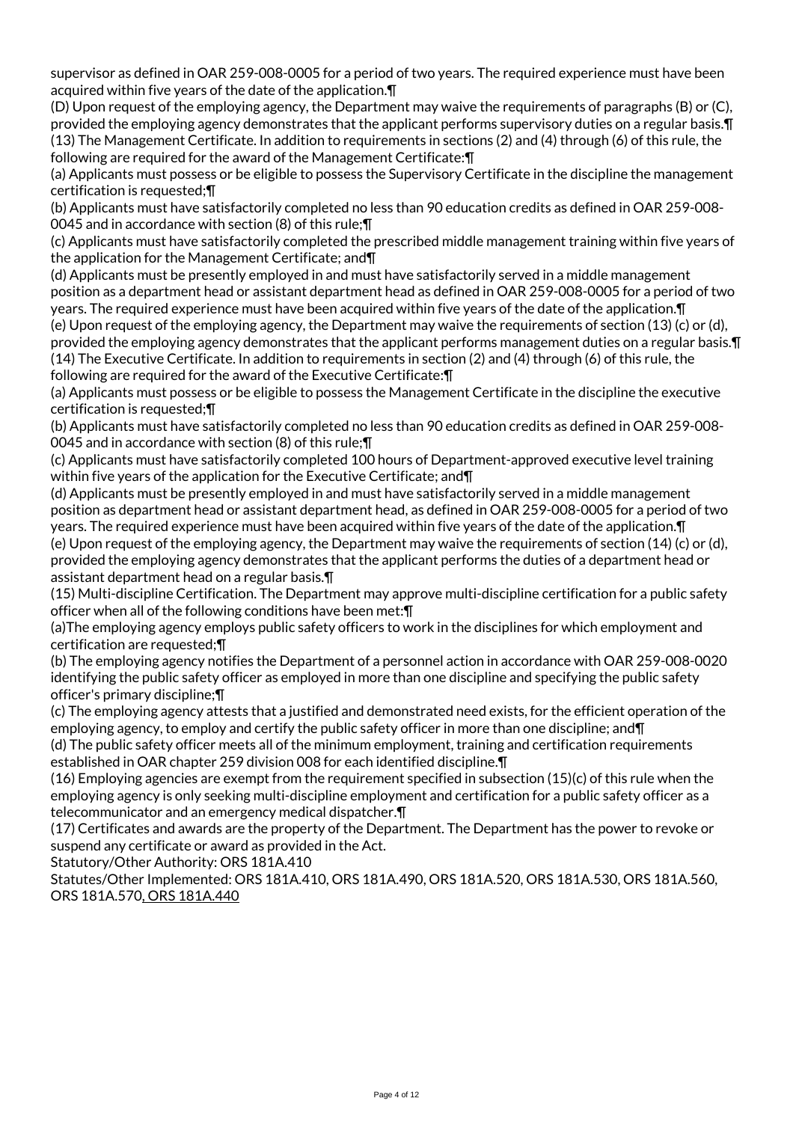supervisor as defined in OAR 259-008-0005 for a period of two years. The required experience must have been acquired within five years of the date of the application.¶

(D) Upon request of the employing agency, the Department may waive the requirements of paragraphs (B) or (C), provided the employing agency demonstrates that the applicant performs supervisory duties on a regular basis.¶ (13) The Management Certificate. In addition to requirements in sections (2) and (4) through (6) of this rule, the following are required for the award of the Management Certificate:¶

(a) Applicants must possess or be eligible to possess the Supervisory Certificate in the discipline the management certification is requested;¶

(b) Applicants must have satisfactorily completed no less than 90 education credits as defined in OAR 259-008- 0045 and in accordance with section (8) of this rule;¶

(c) Applicants must have satisfactorily completed the prescribed middle management training within five years of the application for the Management Certificate; and¶

(d) Applicants must be presently employed in and must have satisfactorily served in a middle management position as a department head or assistant department head as defined in OAR 259-008-0005 for a period of two years. The required experience must have been acquired within five years of the date of the application.¶ (e) Upon request of the employing agency, the Department may waive the requirements of section (13) (c) or (d), provided the employing agency demonstrates that the applicant performs management duties on a regular basis.¶ (14) The Executive Certificate. In addition to requirements in section (2) and (4) through (6) of this rule, the following are required for the award of the Executive Certificate:¶

(a) Applicants must possess or be eligible to possess the Management Certificate in the discipline the executive certification is requested;¶

(b) Applicants must have satisfactorily completed no less than 90 education credits as defined in OAR 259-008- 0045 and in accordance with section (8) of this rule;¶

(c) Applicants must have satisfactorily completed 100 hours of Department-approved executive level training within five years of the application for the Executive Certificate; and¶

(d) Applicants must be presently employed in and must have satisfactorily served in a middle management position as department head or assistant department head, as defined in OAR 259-008-0005 for a period of two years. The required experience must have been acquired within five years of the date of the application.¶ (e) Upon request of the employing agency, the Department may waive the requirements of section (14) (c) or (d), provided the employing agency demonstrates that the applicant performs the duties of a department head or assistant department head on a regular basis.¶

(15) Multi-discipline Certification. The Department may approve multi-discipline certification for a public safety officer when all of the following conditions have been met:¶

(a)The employing agency employs public safety officers to work in the disciplines for which employment and certification are requested;¶

(b) The employing agency notifies the Department of a personnel action in accordance with OAR 259-008-0020 identifying the public safety officer as employed in more than one discipline and specifying the public safety officer's primary discipline;¶

(c) The employing agency attests that a justified and demonstrated need exists, for the efficient operation of the employing agency, to employ and certify the public safety officer in more than one discipline; and¶

(d) The public safety officer meets all of the minimum employment, training and certification requirements established in OAR chapter 259 division 008 for each identified discipline.¶

(16) Employing agencies are exempt from the requirement specified in subsection (15)(c) of this rule when the employing agency is only seeking multi-discipline employment and certification for a public safety officer as a telecommunicator and an emergency medical dispatcher.¶

(17) Certificates and awards are the property of the Department. The Department has the power to revoke or suspend any certificate or award as provided in the Act.

Statutory/Other Authority: ORS 181A.410

Statutes/Other Implemented: ORS 181A.410, ORS 181A.490, ORS 181A.520, ORS 181A.530, ORS 181A.560, ORS 181A.570, ORS 181A.440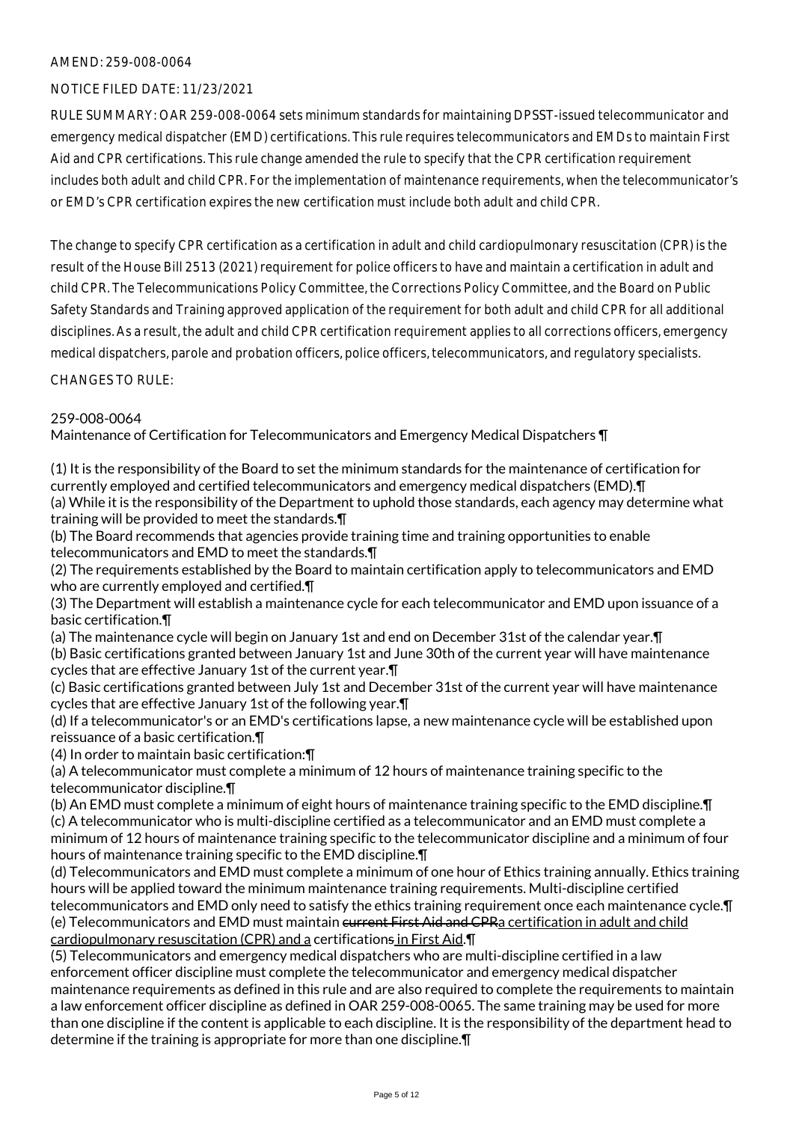### AMEND: 259-008-0064

#### NOTICE FILED DATE: 11/23/2021

RULE SUMMARY: OAR 259-008-0064 sets minimum standards for maintaining DPSST-issued telecommunicator and emergency medical dispatcher (EMD) certifications. This rule requires telecommunicators and EMDs to maintain First Aid and CPR certifications. This rule change amended the rule to specify that the CPR certification requirement includes both adult and child CPR. For the implementation of maintenance requirements, when the telecommunicator's or EMD's CPR certification expires the new certification must include both adult and child CPR.

The change to specify CPR certification as a certification in adult and child cardiopulmonary resuscitation (CPR) is the result of the House Bill 2513 (2021) requirement for police officers to have and maintain a certification in adult and child CPR. The Telecommunications Policy Committee, the Corrections Policy Committee, and the Board on Public Safety Standards and Training approved application of the requirement for both adult and child CPR for all additional disciplines. As a result, the adult and child CPR certification requirement applies to all corrections officers, emergency medical dispatchers, parole and probation officers, police officers, telecommunicators, and regulatory specialists.

CHANGES TO RULE:

#### 259-008-0064

Maintenance of Certification for Telecommunicators and Emergency Medical Dispatchers ¶

(1) It is the responsibility of the Board to set the minimum standards for the maintenance of certification for currently employed and certified telecommunicators and emergency medical dispatchers (EMD).¶ (a) While it is the responsibility of the Department to uphold those standards, each agency may determine what training will be provided to meet the standards.¶

(b) The Board recommends that agencies provide training time and training opportunities to enable telecommunicators and EMD to meet the standards.¶

(2) The requirements established by the Board to maintain certification apply to telecommunicators and EMD who are currently employed and certified.¶

(3) The Department will establish a maintenance cycle for each telecommunicator and EMD upon issuance of a basic certification.¶

(a) The maintenance cycle will begin on January 1st and end on December 31st of the calendar year.¶ (b) Basic certifications granted between January 1st and June 30th of the current year will have maintenance cycles that are effective January 1st of the current year.¶

(c) Basic certifications granted between July 1st and December 31st of the current year will have maintenance cycles that are effective January 1st of the following year.¶

(d) If a telecommunicator's or an EMD's certifications lapse, a new maintenance cycle will be established upon reissuance of a basic certification.¶

(4) In order to maintain basic certification:¶

(a) A telecommunicator must complete a minimum of 12 hours of maintenance training specific to the telecommunicator discipline.¶

(b) An EMD must complete a minimum of eight hours of maintenance training specific to the EMD discipline.¶ (c) A telecommunicator who is multi-discipline certified as a telecommunicator and an EMD must complete a minimum of 12 hours of maintenance training specific to the telecommunicator discipline and a minimum of four hours of maintenance training specific to the EMD discipline.¶

(d) Telecommunicators and EMD must complete a minimum of one hour of Ethics training annually. Ethics training hours will be applied toward the minimum maintenance training requirements. Multi-discipline certified telecommunicators and EMD only need to satisfy the ethics training requirement once each maintenance cycle.¶ (e) Telecommunicators and EMD must maintain current First Aid and CPRa certification in adult and child cardiopulmonary resuscitation (CPR) and a certifications in First Aid.¶

(5) Telecommunicators and emergency medical dispatchers who are multi-discipline certified in a law enforcement officer discipline must complete the telecommunicator and emergency medical dispatcher maintenance requirements as defined in this rule and are also required to complete the requirements to maintain a law enforcement officer discipline as defined in OAR 259-008-0065. The same training may be used for more than one discipline if the content is applicable to each discipline. It is the responsibility of the department head to determine if the training is appropriate for more than one discipline.¶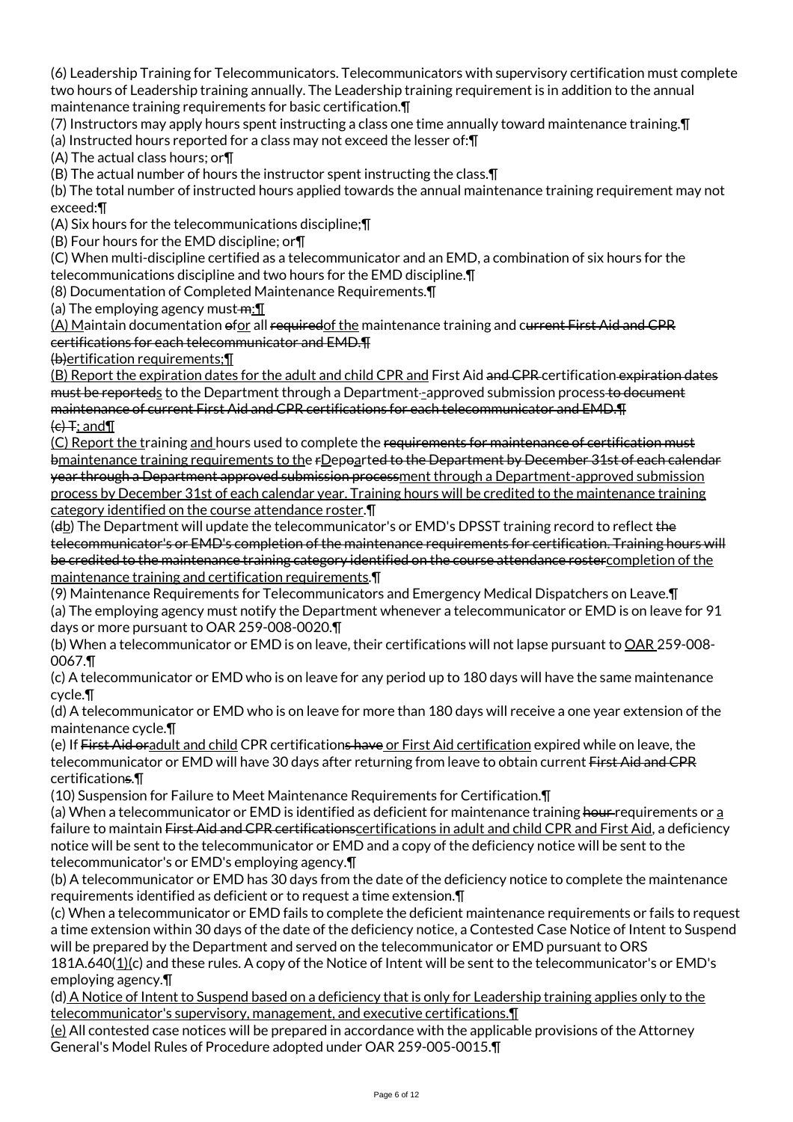(6) Leadership Training for Telecommunicators. Telecommunicators with supervisory certification must complete two hours of Leadership training annually. The Leadership training requirement is in addition to the annual maintenance training requirements for basic certification.¶

(7) Instructors may apply hours spent instructing a class one time annually toward maintenance training.¶

(a) Instructed hours reported for a class may not exceed the lesser of:¶

(A) The actual class hours; or¶

(B) The actual number of hours the instructor spent instructing the class.¶

(b) The total number of instructed hours applied towards the annual maintenance training requirement may not exceed:¶

(A) Six hours for the telecommunications discipline;¶

(B) Four hours for the EMD discipline; or¶

(C) When multi-discipline certified as a telecommunicator and an EMD, a combination of six hours for the telecommunications discipline and two hours for the EMD discipline.¶

(8) Documentation of Completed Maintenance Requirements.¶

(a) The employing agency must- $m:\mathbb{T}$ 

(A) Maintain documentation ofor all requiredof the maintenance training and current First Aid and CPR certifications for each telecommunicator and EMD.¶

(b)ertification requirements;¶

(B) Report the expiration dates for the adult and child CPR and First Aid and CPR certification expiration dates must be reporteds to the Department through a Department-approved submission process to document maintenance of current First Aid and CPR certifications for each telecommunicator and EMD.¶  $\left\{ \right. \leftarrow \leftarrow$  T; and  $\P$ 

(C) Report the training and hours used to complete the requirements for maintenance of certification must bmaintenance training requirements to the rDepoarted to the Department by December 31st of each calendar year through a Department approved submission processment through a Department-approved submission process by December 31st of each calendar year. Training hours will be credited to the maintenance training category identified on the course attendance roster.¶

(db) The Department will update the telecommunicator's or EMD's DPSST training record to reflect the telecommunicator's or EMD's completion of the maintenance requirements for certification. Training hours will be credited to the maintenance training category identified on the course attendance rostercompletion of the maintenance training and certification requirements.¶

(9) Maintenance Requirements for Telecommunicators and Emergency Medical Dispatchers on Leave.¶

(a) The employing agency must notify the Department whenever a telecommunicator or EMD is on leave for 91 days or more pursuant to OAR 259-008-0020.¶

(b) When a telecommunicator or EMD is on leave, their certifications will not lapse pursuant to OAR 259-008-0067.¶

(c) A telecommunicator or EMD who is on leave for any period up to 180 days will have the same maintenance cycle.¶

(d) A telecommunicator or EMD who is on leave for more than 180 days will receive a one year extension of the maintenance cycle.¶

(e) If First Aid oradult and child CPR certifications have or First Aid certification expired while on leave, the telecommunicator or EMD will have 30 days after returning from leave to obtain current First Aid and CPR certifications.¶

(10) Suspension for Failure to Meet Maintenance Requirements for Certification.¶

(a) When a telecommunicator or EMD is identified as deficient for maintenance training hour requirements or a failure to maintain First Aid and CPR certificationscertifications in adult and child CPR and First Aid, a deficiency notice will be sent to the telecommunicator or EMD and a copy of the deficiency notice will be sent to the telecommunicator's or EMD's employing agency.¶

(b) A telecommunicator or EMD has 30 days from the date of the deficiency notice to complete the maintenance requirements identified as deficient or to request a time extension.¶

(c) When a telecommunicator or EMD fails to complete the deficient maintenance requirements or fails to request a time extension within 30 days of the date of the deficiency notice, a Contested Case Notice of Intent to Suspend will be prepared by the Department and served on the telecommunicator or EMD pursuant to ORS

181A.640(1)(c) and these rules. A copy of the Notice of Intent will be sent to the telecommunicator's or EMD's employing agency.¶

(d) A Notice of Intent to Suspend based on a deficiency that is only for Leadership training applies only to the telecommunicator's supervisory, management, and executive certifications.¶

(e) All contested case notices will be prepared in accordance with the applicable provisions of the Attorney General's Model Rules of Procedure adopted under OAR 259-005-0015.¶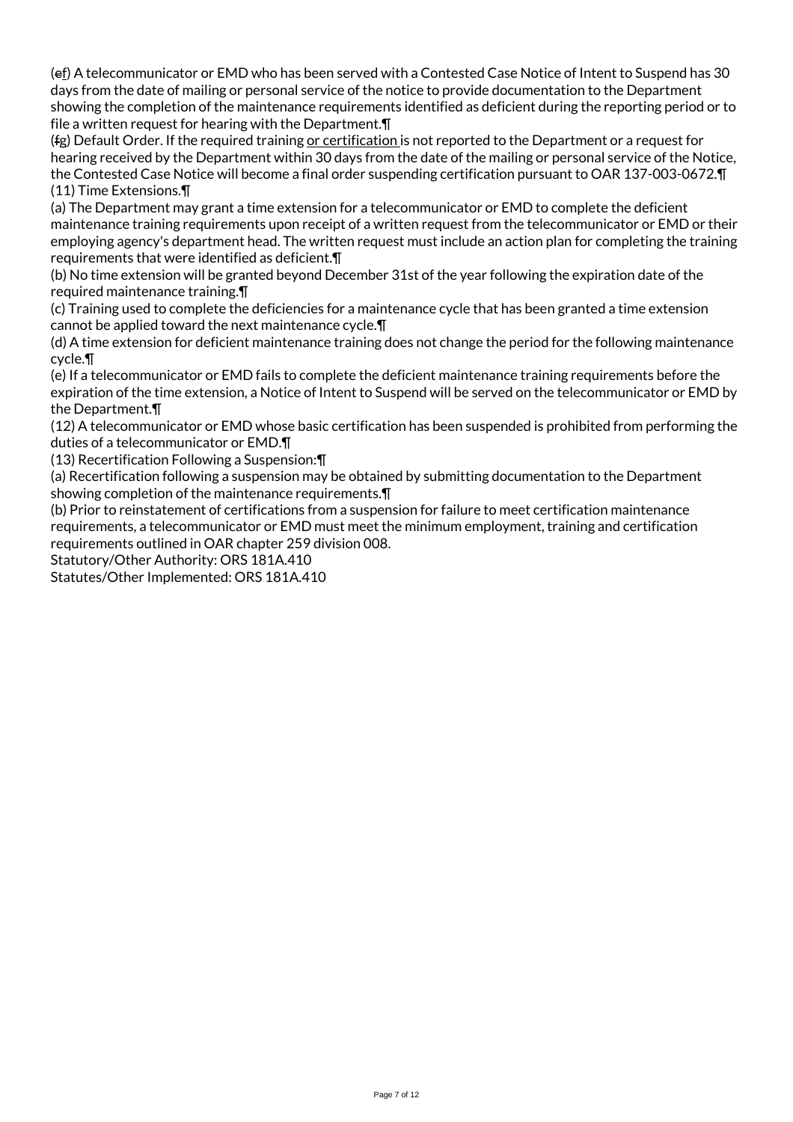(ef) A telecommunicator or EMD who has been served with a Contested Case Notice of Intent to Suspend has 30 days from the date of mailing or personal service of the notice to provide documentation to the Department showing the completion of the maintenance requirements identified as deficient during the reporting period or to file a written request for hearing with the Department.¶

(fg) Default Order. If the required training or certification is not reported to the Department or a request for hearing received by the Department within 30 days from the date of the mailing or personal service of the Notice, the Contested Case Notice will become a final order suspending certification pursuant to OAR 137-003-0672.¶ (11) Time Extensions.¶

(a) The Department may grant a time extension for a telecommunicator or EMD to complete the deficient maintenance training requirements upon receipt of a written request from the telecommunicator or EMD or their employing agency's department head. The written request must include an action plan for completing the training requirements that were identified as deficient.¶

(b) No time extension will be granted beyond December 31st of the year following the expiration date of the required maintenance training.¶

(c) Training used to complete the deficiencies for a maintenance cycle that has been granted a time extension cannot be applied toward the next maintenance cycle.¶

(d) A time extension for deficient maintenance training does not change the period for the following maintenance cycle.¶

(e) If a telecommunicator or EMD fails to complete the deficient maintenance training requirements before the expiration of the time extension, a Notice of Intent to Suspend will be served on the telecommunicator or EMD by the Department.¶

(12) A telecommunicator or EMD whose basic certification has been suspended is prohibited from performing the duties of a telecommunicator or EMD.¶

(13) Recertification Following a Suspension:¶

(a) Recertification following a suspension may be obtained by submitting documentation to the Department showing completion of the maintenance requirements.  $\P$ 

(b) Prior to reinstatement of certifications from a suspension for failure to meet certification maintenance requirements, a telecommunicator or EMD must meet the minimum employment, training and certification requirements outlined in OAR chapter 259 division 008.

Statutory/Other Authority: ORS 181A.410

Statutes/Other Implemented: ORS 181A.410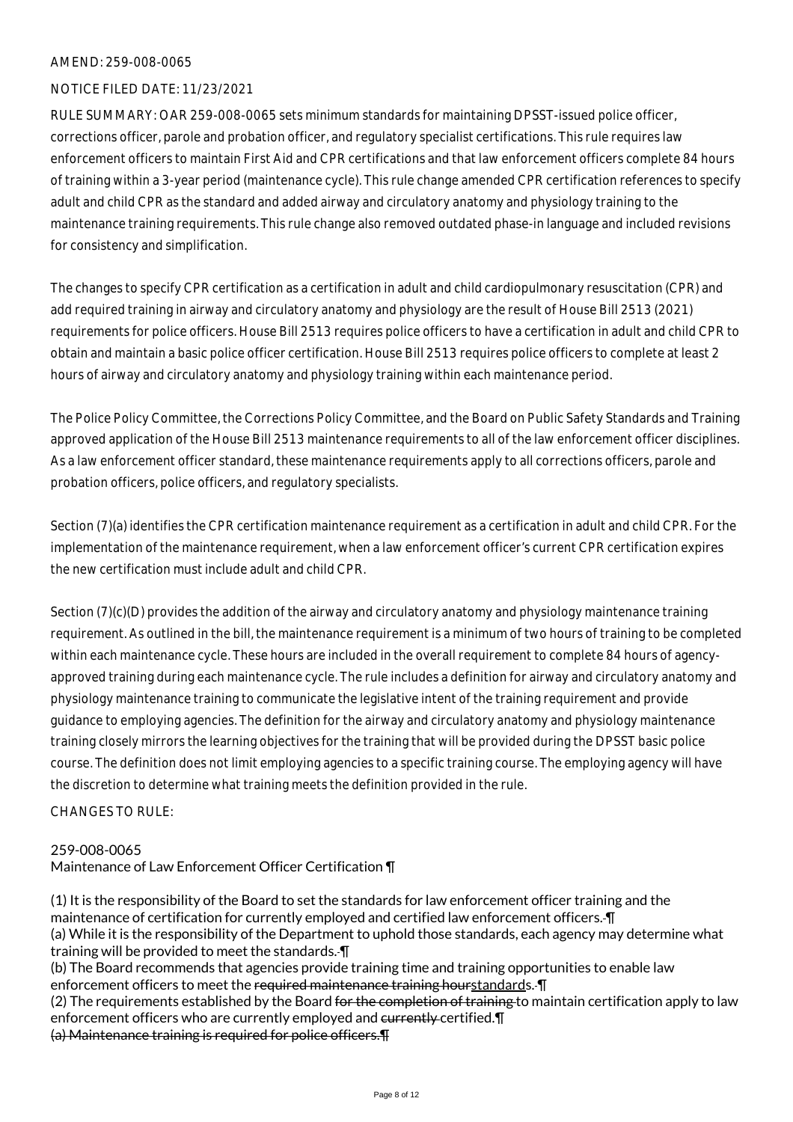#### AMEND: 259-008-0065

#### NOTICE FILED DATE: 11/23/2021

RULE SUMMARY: OAR 259-008-0065 sets minimum standards for maintaining DPSST-issued police officer, corrections officer, parole and probation officer, and regulatory specialist certifications. This rule requires law enforcement officers to maintain First Aid and CPR certifications and that law enforcement officers complete 84 hours of training within a 3-year period (maintenance cycle). This rule change amended CPR certification references to specify adult and child CPR as the standard and added airway and circulatory anatomy and physiology training to the maintenance training requirements. This rule change also removed outdated phase-in language and included revisions for consistency and simplification.

The changes to specify CPR certification as a certification in adult and child cardiopulmonary resuscitation (CPR) and add required training in airway and circulatory anatomy and physiology are the result of House Bill 2513 (2021) requirements for police officers. House Bill 2513 requires police officers to have a certification in adult and child CPR to obtain and maintain a basic police officer certification. House Bill 2513 requires police officers to complete at least 2 hours of airway and circulatory anatomy and physiology training within each maintenance period.

The Police Policy Committee, the Corrections Policy Committee, and the Board on Public Safety Standards and Training approved application of the House Bill 2513 maintenance requirements to all of the law enforcement officer disciplines. As a law enforcement officer standard, these maintenance requirements apply to all corrections officers, parole and probation officers, police officers, and regulatory specialists.

Section (7)(a) identifies the CPR certification maintenance requirement as a certification in adult and child CPR. For the implementation of the maintenance requirement, when a law enforcement officer's current CPR certification expires the new certification must include adult and child CPR.

Section (7)(c)(D) provides the addition of the airway and circulatory anatomy and physiology maintenance training requirement. As outlined in the bill, the maintenance requirement is a minimum of two hours of training to be completed within each maintenance cycle. These hours are included in the overall requirement to complete 84 hours of agencyapproved training during each maintenance cycle. The rule includes a definition for airway and circulatory anatomy and physiology maintenance training to communicate the legislative intent of the training requirement and provide guidance to employing agencies. The definition for the airway and circulatory anatomy and physiology maintenance training closely mirrors the learning objectives for the training that will be provided during the DPSST basic police course. The definition does not limit employing agencies to a specific training course. The employing agency will have the discretion to determine what training meets the definition provided in the rule.

CHANGES TO RULE:

#### 259-008-0065

Maintenance of Law Enforcement Officer Certification ¶

(1) It is the responsibility of the Board to set the standards for law enforcement officer training and the maintenance of certification for currently employed and certified law enforcement officers. ¶ (a) While it is the responsibility of the Department to uphold those standards, each agency may determine what training will be provided to meet the standards. ¶

(b) The Board recommends that agencies provide training time and training opportunities to enable law enforcement officers to meet the required maintenance training hourstandards. I

(2) The requirements established by the Board <del>for the completion of training</del> to maintain certification apply to law enforcement officers who are currently employed and currently certified. In (a) Maintenance training is required for police officers.¶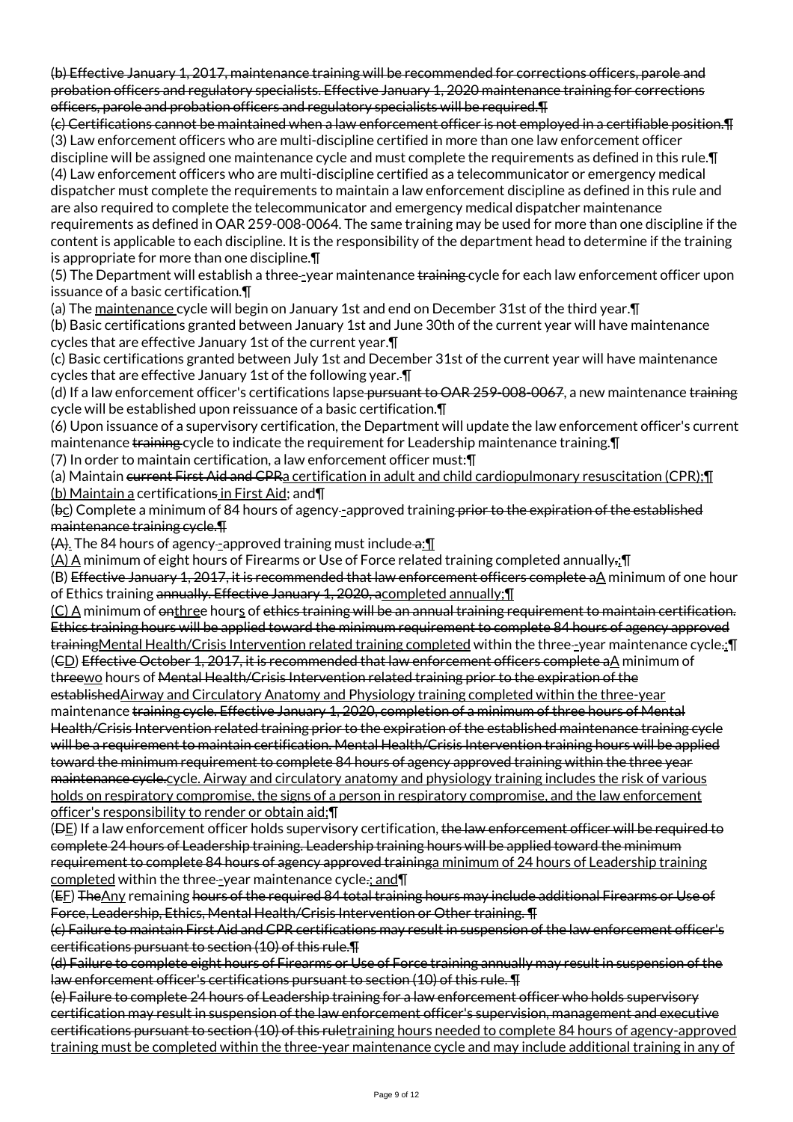(b) Effective January 1, 2017, maintenance training will be recommended for corrections officers, parole and probation officers and regulatory specialists. Effective January 1, 2020 maintenance training for corrections officers, parole and probation officers and regulatory specialists will be required.¶

(c) Certifications cannot be maintained when a law enforcement officer is not employed in a certifiable position.¶ (3) Law enforcement officers who are multi-discipline certified in more than one law enforcement officer discipline will be assigned one maintenance cycle and must complete the requirements as defined in this rule.¶ (4) Law enforcement officers who are multi-discipline certified as a telecommunicator or emergency medical dispatcher must complete the requirements to maintain a law enforcement discipline as defined in this rule and are also required to complete the telecommunicator and emergency medical dispatcher maintenance

requirements as defined in OAR 259-008-0064. The same training may be used for more than one discipline if the content is applicable to each discipline. It is the responsibility of the department head to determine if the training is appropriate for more than one discipline.¶

(5) The Department will establish a three-year maintenance training cycle for each law enforcement officer upon issuance of a basic certification.¶

(a) The maintenance cycle will begin on January 1st and end on December 31st of the third year.¶

(b) Basic certifications granted between January 1st and June 30th of the current year will have maintenance cycles that are effective January 1st of the current year.¶

(c) Basic certifications granted between July 1st and December 31st of the current year will have maintenance cycles that are effective January 1st of the following year. ¶

(d) If a law enforcement officer's certifications lapse-pursuant to OAR 259-008-0067, a new maintenance training cycle will be established upon reissuance of a basic certification.¶

(6) Upon issuance of a supervisory certification, the Department will update the law enforcement officer's current maintenance training cycle to indicate the requirement for Leadership maintenance training.¶

(7) In order to maintain certification, a law enforcement officer must:¶

(a) Maintain current First Aid and CPRa certification in adult and child cardiopulmonary resuscitation (CPR);¶ (b) Maintain a certifications in First Aid; and¶

(bc) Complete a minimum of 84 hours of agency-approved training prior to the expiration of the established maintenance training cycle.¶

 $(A)$ . The 84 hours of agency-approved training must include  $a:\mathbb{I}$ 

(A) A minimum of eight hours of Firearms or Use of Force related training completed annually.;¶

(B) Effective January 1, 2017, it is recommended that law enforcement officers complete aA minimum of one hour of Ethics training annually. Effective January 1, 2020, acompleted annually;¶

(C) A minimum of onthree hours of ethics training will be an annual training requirement to maintain certification. Ethics training hours will be applied toward the minimum requirement to complete 84 hours of agency approved trainingMental Health/Crisis Intervention related training completed within the three-year maintenance cycle.; [ (CD) Effective October 1, 2017, it is recommended that law enforcement officers complete aA minimum of

threewo hours of Mental Health/Crisis Intervention related training prior to the expiration of the

establishedAirway and Circulatory Anatomy and Physiology training completed within the three-year maintenance training cycle. Effective January 1, 2020, completion of a minimum of three hours of Mental Health/Crisis Intervention related training prior to the expiration of the established maintenance training cycle will be a requirement to maintain certification. Mental Health/Crisis Intervention training hours will be applied toward the minimum requirement to complete 84 hours of agency approved training within the three year maintenance cycle.cycle. Airway and circulatory anatomy and physiology training includes the risk of various holds on respiratory compromise, the signs of a person in respiratory compromise, and the law enforcement officer's responsibility to render or obtain aid;¶

( $\Theta$ E) If a law enforcement officer holds supervisory certification, the law enforcement officer will be required to complete 24 hours of Leadership training. Leadership training hours will be applied toward the minimum requirement to complete 84 hours of agency approved traininga minimum of 24 hours of Leadership training completed within the three--year maintenance cycle.; and  $\P$ 

(EE) The Any remaining hours of the required 84 total training hours may include additional Firearms or Use of Force, Leadership, Ethics, Mental Health/Crisis Intervention or Other training. ¶

(c) Failure to maintain First Aid and CPR certifications may result in suspension of the law enforcement officer's certifications pursuant to section (10) of this rule.¶

(d) Failure to complete eight hours of Firearms or Use of Force training annually may result in suspension of the law enforcement officer's certifications pursuant to section (10) of this rule. ¶

(e) Failure to complete 24 hours of Leadership training for a law enforcement officer who holds supervisory certification may result in suspension of the law enforcement officer's supervision, management and executive certifications pursuant to section (10) of this ruletraining hours needed to complete 84 hours of agency-approved training must be completed within the three-year maintenance cycle and may include additional training in any of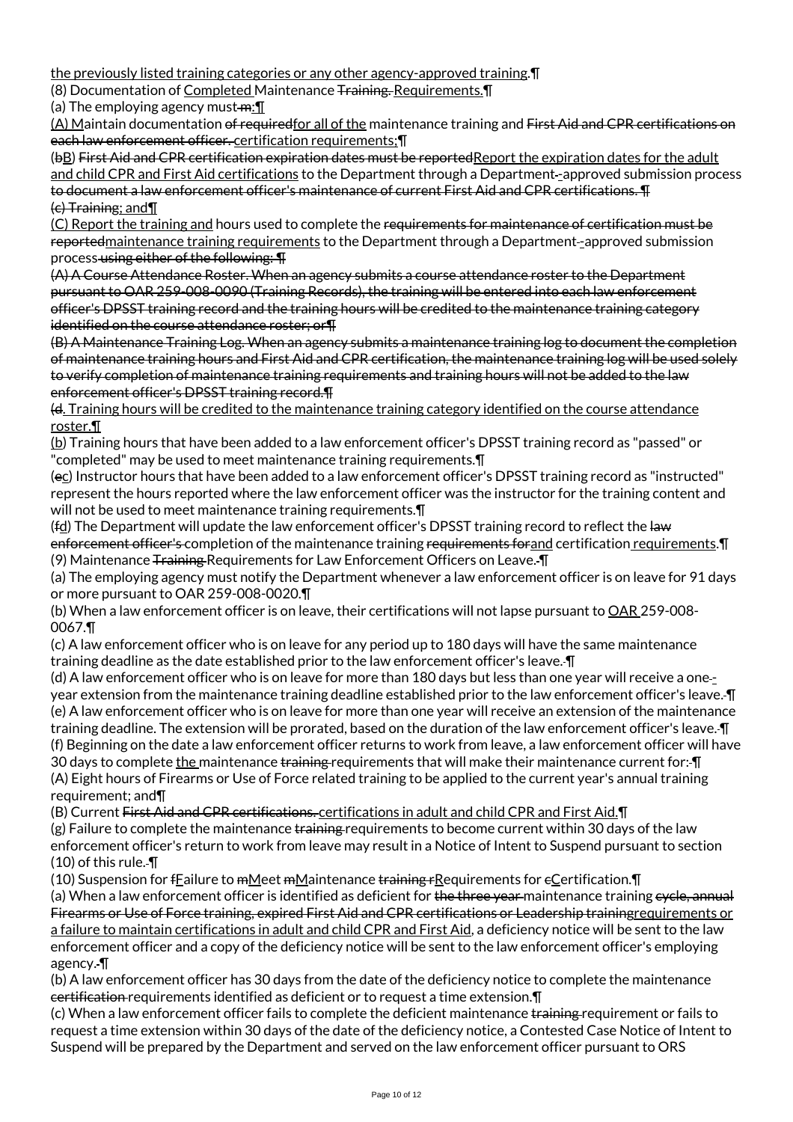the previously listed training categories or any other agency-approved training.¶

(8) Documentation of Completed Maintenance Training. Requirements.¶

(a) The employing agency must- $m:\mathbb{T}$ 

(A) Maintain documentation of requiredfor all of the maintenance training and First Aid and CPR certifications on each law enforcement officer. certification requirements;¶

(bB) First Aid and CPR certification expiration dates must be reportedReport the expiration dates for the adult and child CPR and First Aid certifications to the Department through a Department -approved submission process to document a law enforcement officer's maintenance of current First Aid and CPR certifications. ¶ (c) Training; and¶

(C) Report the training and hours used to complete the requirements for maintenance of certification must be reportedmaintenance training requirements to the Department through a Department--approved submission process-using either of the following:  $\P$ 

(A) A Course Attendance Roster. When an agency submits a course attendance roster to the Department pursuant to OAR 259-008-0090 (Training Records), the training will be entered into each law enforcement officer's DPSST training record and the training hours will be credited to the maintenance training category identified on the course attendance roster; or¶

(B) A Maintenance Training Log. When an agency submits a maintenance training log to document the completion of maintenance training hours and First Aid and CPR certification, the maintenance training log will be used solely to verify completion of maintenance training requirements and training hours will not be added to the law enforcement officer's DPSST training record.¶

(d. Training hours will be credited to the maintenance training category identified on the course attendance roster.¶

(b) Training hours that have been added to a law enforcement officer's DPSST training record as "passed" or "completed" may be used to meet maintenance training requirements.¶

(ec) Instructor hours that have been added to a law enforcement officer's DPSST training record as "instructed" represent the hours reported where the law enforcement officer was the instructor for the training content and will not be used to meet maintenance training requirements. $\P$ 

(fd) The Department will update the law enforcement officer's DPSST training record to reflect the law enforcement officer's completion of the maintenance training requirements forand certification requirements. I (9) Maintenance Training Requirements for Law Enforcement Officers on Leave. I

(a) The employing agency must notify the Department whenever a law enforcement officer is on leave for 91 days or more pursuant to OAR 259-008-0020.¶

(b) When a law enforcement officer is on leave, their certifications will not lapse pursuant to OAR 259-008-0067.¶

(c) A law enforcement officer who is on leave for any period up to 180 days will have the same maintenance training deadline as the date established prior to the law enforcement officer's leave. ¶

(d) A law enforcement officer who is on leave for more than 180 days but less than one year will receive a oneyear extension from the maintenance training deadline established prior to the law enforcement officer's leave. ¶ (e) A law enforcement officer who is on leave for more than one year will receive an extension of the maintenance training deadline. The extension will be prorated, based on the duration of the law enforcement officer's leave. ¶ (f) Beginning on the date a law enforcement officer returns to work from leave, a law enforcement officer will have 30 days to complete the maintenance training requirements that will make their maintenance current for: I (A) Eight hours of Firearms or Use of Force related training to be applied to the current year's annual training requirement; and¶

(B) Current First Aid and CPR certifications. certifications in adult and child CPR and First Aid. I

 $(g)$  Failure to complete the maintenance training requirements to become current within 30 days of the law enforcement officer's return to work from leave may result in a Notice of Intent to Suspend pursuant to section (10) of this rule. ¶

(10) Suspension for  $f_{\text{E}}$ ailure to mMeet mMaintenance training rRequirements for e $\text{C}$ ertification. $\P$ 

(a) When a law enforcement officer is identified as deficient for the three year maintenance training eyele, annual Firearms or Use of Force training, expired First Aid and CPR certifications or Leadership trainingrequirements or a failure to maintain certifications in adult and child CPR and First Aid, a deficiency notice will be sent to the law enforcement officer and a copy of the deficiency notice will be sent to the law enforcement officer's employing agency. ¶

(b) A law enforcement officer has 30 days from the date of the deficiency notice to complete the maintenance certification requirements identified as deficient or to request a time extension.¶

(c) When a law enforcement officer fails to complete the deficient maintenance training requirement or fails to request a time extension within 30 days of the date of the deficiency notice, a Contested Case Notice of Intent to Suspend will be prepared by the Department and served on the law enforcement officer pursuant to ORS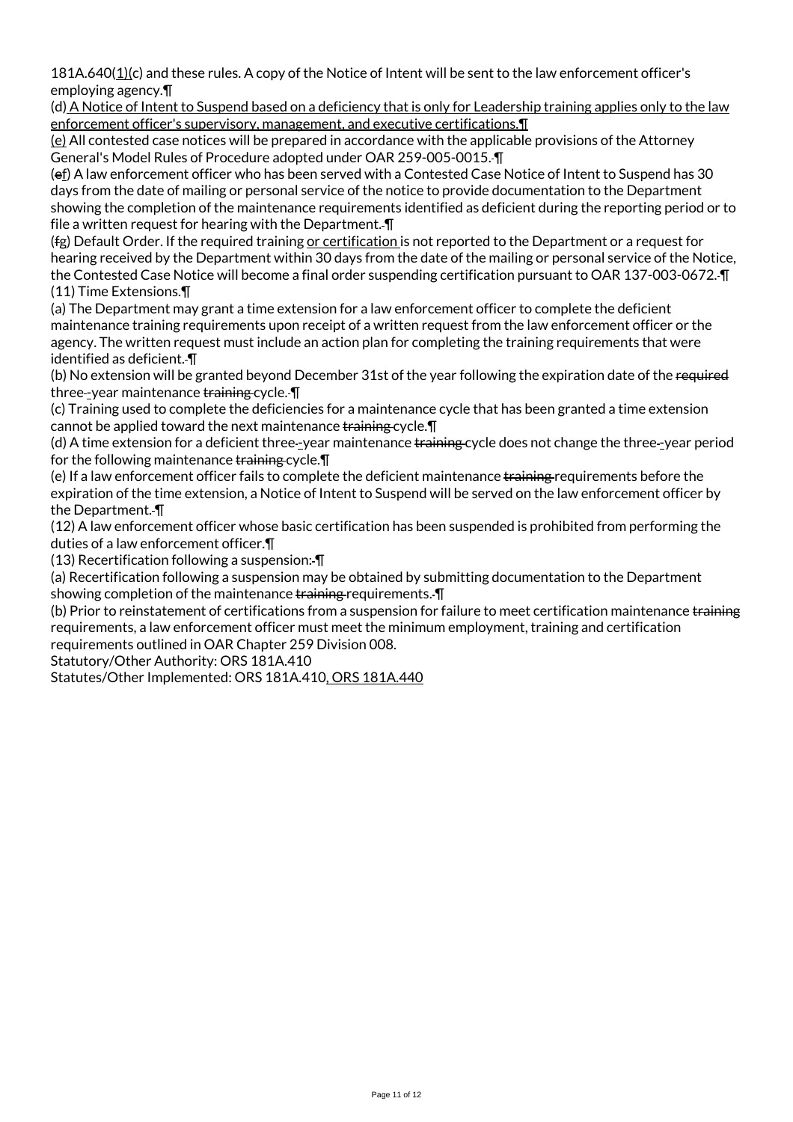181A.640(1)(c) and these rules. A copy of the Notice of Intent will be sent to the law enforcement officer's employing agency.¶

(d) A Notice of Intent to Suspend based on a deficiency that is only for Leadership training applies only to the law enforcement officer's supervisory, management, and executive certifications.¶

(e) All contested case notices will be prepared in accordance with the applicable provisions of the Attorney General's Model Rules of Procedure adopted under OAR 259-005-0015. ¶

(ef) A law enforcement officer who has been served with a Contested Case Notice of Intent to Suspend has 30 days from the date of mailing or personal service of the notice to provide documentation to the Department showing the completion of the maintenance requirements identified as deficient during the reporting period or to file a written request for hearing with the Department. ¶

(fg) Default Order. If the required training or certification is not reported to the Department or a request for hearing received by the Department within 30 days from the date of the mailing or personal service of the Notice, the Contested Case Notice will become a final order suspending certification pursuant to OAR 137-003-0672. ¶ (11) Time Extensions.¶

(a) The Department may grant a time extension for a law enforcement officer to complete the deficient maintenance training requirements upon receipt of a written request from the law enforcement officer or the agency. The written request must include an action plan for completing the training requirements that were identified as deficient. ¶

(b) No extension will be granted beyond December 31st of the year following the expiration date of the required three-year maintenance training cycle.  $\P$ 

(c) Training used to complete the deficiencies for a maintenance cycle that has been granted a time extension cannot be applied toward the next maintenance training cycle. The

(d) A time extension for a deficient three--year maintenance training cycle does not change the three--year period for the following maintenance training cycle.

(e) If a law enforcement officer fails to complete the deficient maintenance training requirements before the expiration of the time extension, a Notice of Intent to Suspend will be served on the law enforcement officer by the Department. ¶

(12) A law enforcement officer whose basic certification has been suspended is prohibited from performing the duties of a law enforcement officer.¶

(13) Recertification following a suspension: ¶

(a) Recertification following a suspension may be obtained by submitting documentation to the Department showing completion of the maintenance training requirements.  $\P$ 

(b) Prior to reinstatement of certifications from a suspension for failure to meet certification maintenance training requirements, a law enforcement officer must meet the minimum employment, training and certification requirements outlined in OAR Chapter 259 Division 008.

Statutory/Other Authority: ORS 181A.410

Statutes/Other Implemented: ORS 181A.410, ORS 181A.440